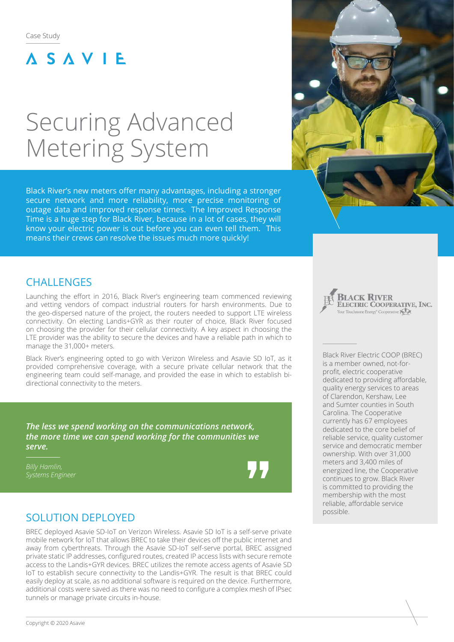## **ASAVIE**

# Securing Advanced Metering System

Black River's new meters offer many advantages, including a stronger secure network and more reliability, more precise monitoring of outage data and improved response times. The Improved Response Time is a huge step for Black River, because in a lot of cases, they will know your electric power is out before you can even tell them. This means their crews can resolve the issues much more quickly!



## **CHALLENGES**

Launching the effort in 2016, Black River's engineering team commenced reviewing and vetting vendors of compact industrial routers for harsh environments. Due to the geo-dispersed nature of the project, the routers needed to support LTE wireless connectivity. On electing Landis+GYR as their router of choice, Black River focused on choosing the provider for their cellular connectivity. A key aspect in choosing the LTE provider was the ability to secure the devices and have a reliable path in which to manage the 31,000+ meters.

Black River's engineering opted to go with Verizon Wireless and Asavie SD IoT, as it provided comprehensive coverage, with a secure private cellular network that the engineering team could self-manage, and provided the ease in which to establish bidirectional connectivity to the meters.

*The less we spend working on the communications network, the more time we can spend working for the communities we serve.*

## SOLUTION DEPLOYED

BREC deployed Asavie SD-IoT on Verizon Wireless. Asavie SD IoT is a self-serve private mobile network for IoT that allows BREC to take their devices off the public internet and away from cyberthreats. Through the Asavie SD-IoT self-serve portal, BREC assigned private static IP addresses, configured routes, created IP access lists with secure remote access to the Landis+GYR devices. BREC utilizes the remote access agents of Asavie SD IoT to establish secure connectivity to the Landis+GYR. The result is that BREC could easily deploy at scale, as no additional software is required on the device. Furthermore, additional costs were saved as there was no need to configure a complex mesh of IPsec tunnels or manage private circuits in-house.

**BLACK RIVER** ELECTRIC COOPERATIVE, INC. Your Touchstone Energy<sup>®</sup> Cooperative **KI** 

Black River Electric COOP (BREC) is a member owned, not-forprofit, electric cooperative dedicated to providing affordable, quality energy services to areas of Clarendon, Kershaw, Lee and Sumter counties in South Carolina. The Cooperative currently has 67 employees dedicated to the core belief of reliable service, quality customer service and democratic member ownership. With over 31,000 meters and 3,400 miles of energized line, the Cooperative continues to grow. Black River is committed to providing the membership with the most reliable, affordable service possible.